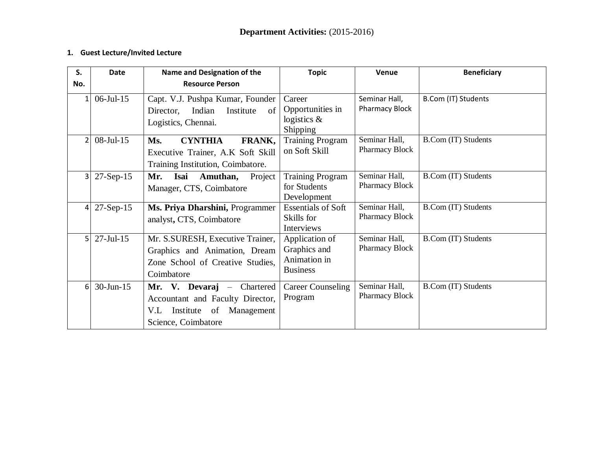## **1. Guest Lecture/Invited Lecture**

| S.               | <b>Date</b>      | Name and Designation of the                                                                                                        | <b>Topic</b>                                                      | Venue                                  | <b>Beneficiary</b>         |
|------------------|------------------|------------------------------------------------------------------------------------------------------------------------------------|-------------------------------------------------------------------|----------------------------------------|----------------------------|
| No.              |                  | <b>Resource Person</b>                                                                                                             |                                                                   |                                        |                            |
| $1\vert$         | $06$ -Jul-15     | Capt. V.J. Pushpa Kumar, Founder<br>Indian<br>Institute<br>of<br>Director,<br>Logistics, Chennai.                                  | Career<br>Opportunities in<br>logistics $\&$<br>Shipping          | Seminar Hall,<br><b>Pharmacy Block</b> | B.Com (IT) Students        |
| $\overline{2}$   | $08$ -Jul-15     | <b>CYNTHIA</b><br>FRANK,<br>Ms.<br>Executive Trainer, A.K Soft Skill<br>Training Institution, Coimbatore.                          | <b>Training Program</b><br>on Soft Skill                          | Seminar Hall,<br>Pharmacy Block        | <b>B.Com (IT) Students</b> |
| $\overline{3}$   | $27-Sep-15$      | Mr.<br>Isai<br>Amuthan,<br>Project<br>Manager, CTS, Coimbatore                                                                     | <b>Training Program</b><br>for Students<br>Development            | Seminar Hall,<br><b>Pharmacy Block</b> | <b>B.Com (IT) Students</b> |
| $\overline{4}$   | $27-Sep-15$      | Ms. Priya Dharshini, Programmer<br>analyst, CTS, Coimbatore                                                                        | <b>Essentials of Soft</b><br>Skills for<br><b>Interviews</b>      | Seminar Hall,<br><b>Pharmacy Block</b> | B.Com (IT) Students        |
| 5 <sup>1</sup>   | $27 -$ Jul $-15$ | Mr. S.SURESH, Executive Trainer,<br>Graphics and Animation, Dream<br>Zone School of Creative Studies,<br>Coimbatore                | Application of<br>Graphics and<br>Animation in<br><b>Business</b> | Seminar Hall,<br><b>Pharmacy Block</b> | <b>B.Com (IT) Students</b> |
| $6 \overline{6}$ | $30$ -Jun-15     | Mr. V. Devaraj $-$<br>Chartered<br>Accountant and Faculty Director,<br>of<br>V.L<br>Institute<br>Management<br>Science, Coimbatore | <b>Career Counseling</b><br>Program                               | Seminar Hall,<br><b>Pharmacy Block</b> | <b>B.Com (IT) Students</b> |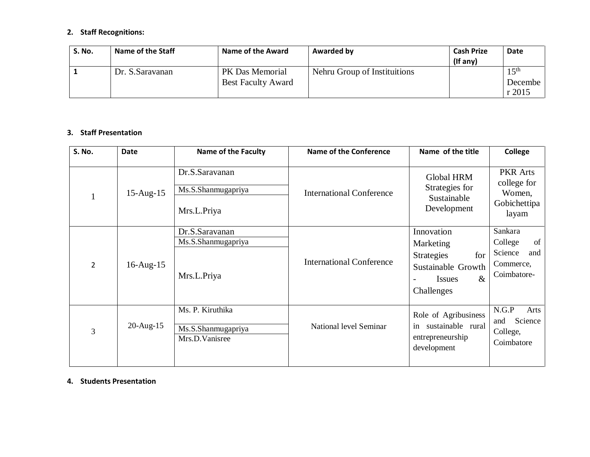# **2. Staff Recognitions:**

| <b>S. No.</b> | Name of the Staff | <b>Name of the Award</b>  | Awarded by                   | <b>Cash Prize</b><br>$($ If any $)$ | <b>Date</b>      |
|---------------|-------------------|---------------------------|------------------------------|-------------------------------------|------------------|
|               | Dr. S.Saravanan   | PK Das Memorial           | Nehru Group of Instituitions |                                     | 15 <sup>th</sup> |
|               |                   | <b>Best Faculty Award</b> |                              |                                     | Decembe          |
|               |                   |                           |                              |                                     | r2015            |

### **3. Staff Presentation**

| S. No.         | <b>Date</b>     | <b>Name of the Faculty</b>                               | <b>Name of the Conference</b>   | Name of the title                                                                                                | <b>College</b>                                                         |
|----------------|-----------------|----------------------------------------------------------|---------------------------------|------------------------------------------------------------------------------------------------------------------|------------------------------------------------------------------------|
|                | $15$ -Aug- $15$ | Dr.S.Saravanan<br>Ms.S.Shanmugapriya<br>Mrs.L.Priya      | <b>International Conference</b> | <b>Global HRM</b><br>Strategies for<br>Sustainable<br>Development                                                | <b>PKR</b> Arts<br>college for<br>Women,<br>Gobichettipa<br>layam      |
| $\overline{2}$ | $16$ -Aug- $15$ | Dr.S.Saravanan<br>Ms.S.Shanmugapriya<br>Mrs.L.Priya      | <b>International Conference</b> | Innovation<br>Marketing<br>for<br><b>Strategies</b><br>Sustainable Growth<br>$\&$<br><b>Issues</b><br>Challenges | Sankara<br>College<br>of<br>Science<br>and<br>Commerce,<br>Coimbatore- |
| 3              | $20$ -Aug-15    | Ms. P. Kiruthika<br>Ms.S.Shanmugapriya<br>Mrs.D.Vanisree | National level Seminar          | Role of Agribusiness<br>sustainable rural<br>in<br>entrepreneurship<br>development                               | N.G.P<br>Arts<br>Science<br>and<br>College,<br>Coimbatore              |

### **4. Students Presentation**